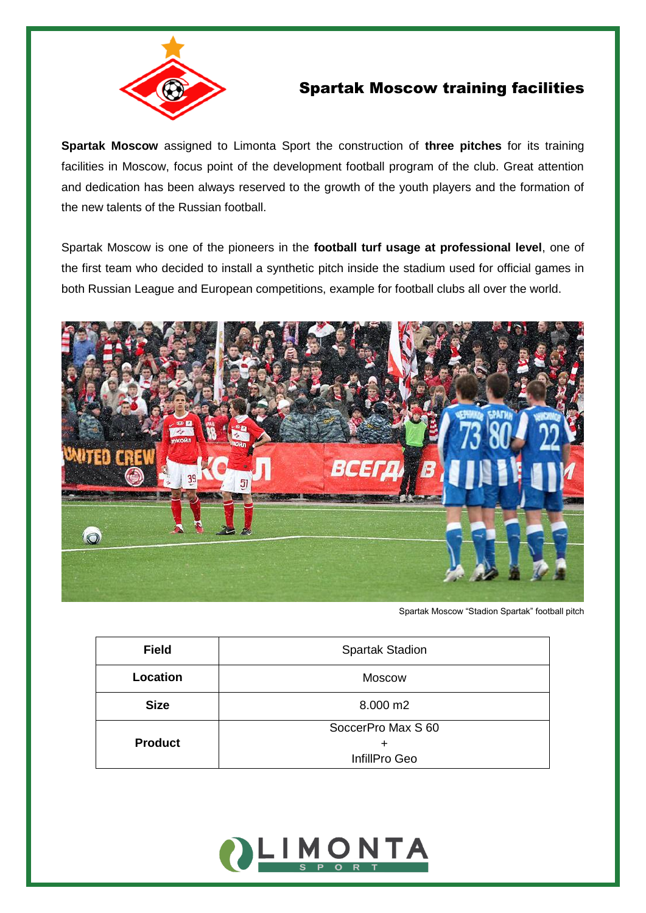

## Spartak Moscow training facilities

**Spartak Moscow** assigned to Limonta Sport the construction of **three pitches** for its training facilities in Moscow, focus point of the development football program of the club. Great attention and dedication has been always reserved to the growth of the youth players and the formation of the new talents of the Russian football.

Spartak Moscow is one of the pioneers in the **football turf usage at professional level**, one of the first team who decided to install a synthetic pitch inside the stadium used for official games in both Russian League and European competitions, example for football clubs all over the world.



Spartak Moscow "Stadion Spartak" football pitch

| <b>Field</b>   | <b>Spartak Stadion</b> |
|----------------|------------------------|
| Location       | <b>Moscow</b>          |
| <b>Size</b>    | 8.000 m2               |
|                | SoccerPro Max S 60     |
| <b>Product</b> | ÷                      |
|                | InfillPro Geo          |

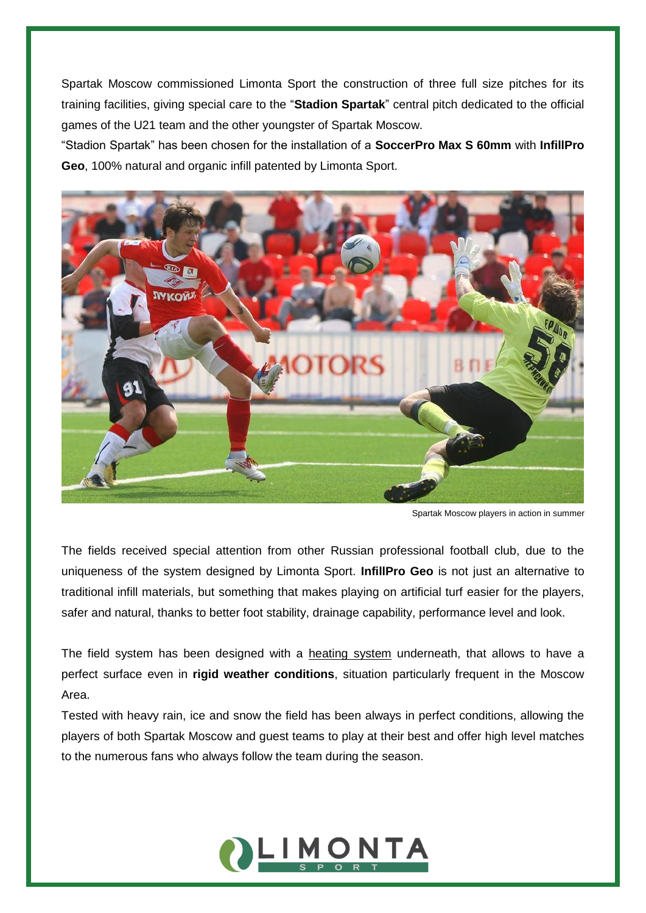Spartak Moscow commissioned Limonta Sport the construction of three full size pitches for its training facilities, giving special care to the "**Stadion Spartak**" central pitch dedicated to the official games of the U21 team and the other youngster of Spartak Moscow.

"Stadion Spartak" has been chosen for the installation of a **SoccerPro Max S 60mm** with **InfillPro Geo**, 100% natural and organic infill patented by Limonta Sport.



Spartak Moscow players in action in summer

The fields received special attention from other Russian professional football club, due to the uniqueness of the system designed by Limonta Sport. **InfillPro Geo** is not just an alternative to traditional infill materials, but something that makes playing on artificial turf easier for the players, safer and natural, thanks to better foot stability, drainage capability, performance level and look.

The field system has been designed with a heating system underneath, that allows to have a perfect surface even in **rigid weather conditions**, situation particularly frequent in the Moscow Area.

Tested with heavy rain, ice and snow the field has been always in perfect conditions, allowing the players of both Spartak Moscow and guest teams to play at their best and offer high level matches to the numerous fans who always follow the team during the season.